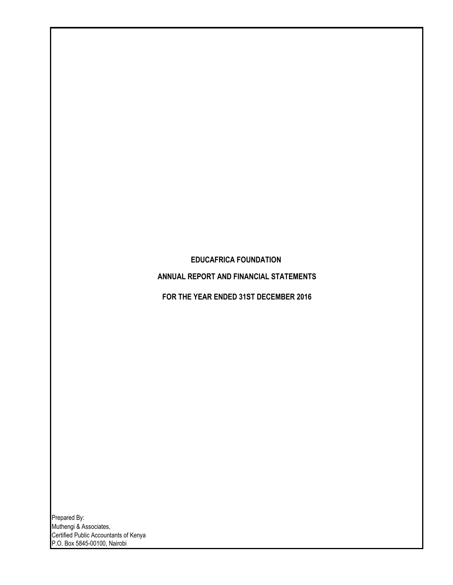# **EDUCAFRICA FOUNDATION**

**ANNUAL REPORT AND FINANCIAL STATEMENTS**

**FOR THE YEAR ENDED 31ST DECEMBER 2016**

Prepared By: Muthengi & Associates, Certified Public Accountants of Kenya P.O. Box 5845-00100, Nairobi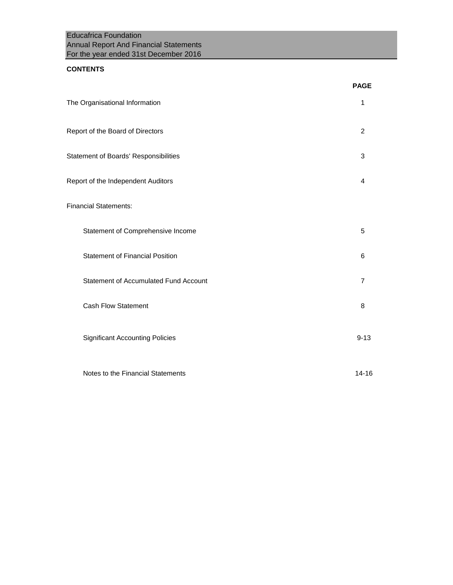Educafrica Foundation Annual Report And Financial Statements For the year ended 31st December 2016

## **CONTENTS**

|                                              | <b>PAGE</b>    |
|----------------------------------------------|----------------|
| The Organisational Information               | 1              |
| Report of the Board of Directors             | $\overline{2}$ |
| Statement of Boards' Responsibilities        | 3              |
| Report of the Independent Auditors           | 4              |
| <b>Financial Statements:</b>                 |                |
| Statement of Comprehensive Income            | 5              |
| <b>Statement of Financial Position</b>       | 6              |
| <b>Statement of Accumulated Fund Account</b> | 7              |
| <b>Cash Flow Statement</b>                   | 8              |
| <b>Significant Accounting Policies</b>       | $9 - 13$       |
| Notes to the Financial Statements            | $14 - 16$      |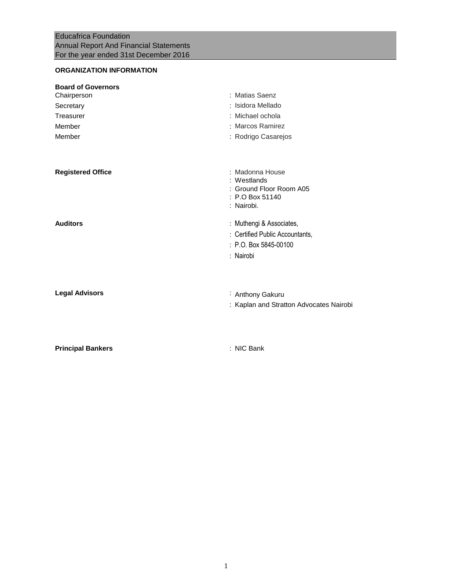# **ORGANIZATION INFORMATION**

| <b>Board of Governors</b><br>Chairperson<br>Secretary<br>Treasurer | : Matias Saenz<br>: Isidora Mellado<br>: Michael ochola                                    |
|--------------------------------------------------------------------|--------------------------------------------------------------------------------------------|
| Member<br>Member                                                   | : Marcos Ramirez<br>: Rodrigo Casarejos                                                    |
|                                                                    |                                                                                            |
| <b>Registered Office</b>                                           | : Madonna House<br>: Westlands<br>: Ground Floor Room A05<br>: P.O Box 51140<br>: Nairobi. |
| <b>Auditors</b>                                                    | : Muthengi & Associates,                                                                   |
|                                                                    | : Certified Public Accountants,<br>$: P.O.$ Box 5845-00100                                 |
|                                                                    | : Nairobi                                                                                  |
| <b>Legal Advisors</b>                                              | : Anthony Gakuru<br>: Kaplan and Stratton Advocates Nairobi                                |
| <b>Principal Bankers</b>                                           | : NIC Bank                                                                                 |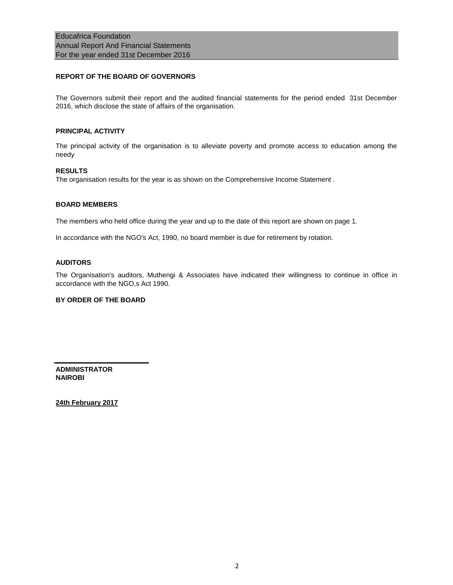## **REPORT OF THE BOARD OF GOVERNORS**

The Governors submit their report and the audited financial statements for the period ended 31st December 2016, which disclose the state of affairs of the organisation.

### **PRINCIPAL ACTIVITY**

The principal activity of the organisation is to alleviate poverty and promote access to education among the needy

### **RESULTS**

The organisation results for the year is as shown on the Comprehensive Income Statement .

### **BOARD MEMBERS**

The members who held office during the year and up to the date of this report are shown on page 1.

In accordance with the NGO's Act, 1990, no board member is due for retirement by rotation.

### **AUDITORS**

The Organisation's auditors, Muthengi & Associates have indicated their willingness to continue in office in accordance with the NGO,s Act 1990.

### **BY ORDER OF THE BOARD**

**ADMINISTRATOR NAIROBI**

**24th February 2017**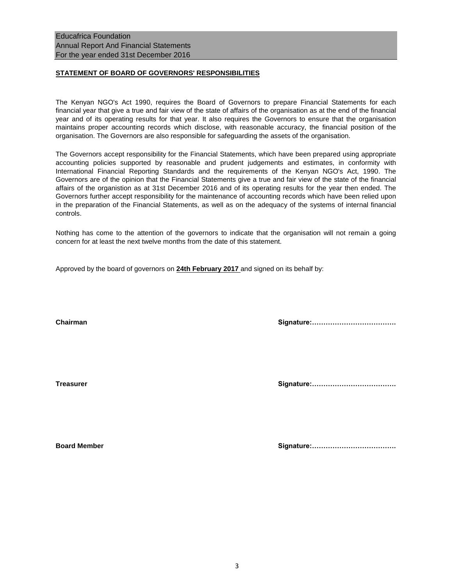## **STATEMENT OF BOARD OF GOVERNORS' RESPONSIBILITIES**

The Kenyan NGO's Act 1990, requires the Board of Governors to prepare Financial Statements for each financial year that give a true and fair view of the state of affairs of the organisation as at the end of the financial year and of its operating results for that year. It also requires the Governors to ensure that the organisation maintains proper accounting records which disclose, with reasonable accuracy, the financial position of the organisation. The Governors are also responsible for safeguarding the assets of the organisation.

The Governors accept responsibility for the Financial Statements, which have been prepared using appropriate accounting policies supported by reasonable and prudent judgements and estimates, in conformity with International Financial Reporting Standards and the requirements of the Kenyan NGO's Act, 1990. The Governors are of the opinion that the Financial Statements give a true and fair view of the state of the financial affairs of the organistion as at 31st December 2016 and of its operating results for the year then ended. The Governors further accept responsibility for the maintenance of accounting records which have been relied upon in the preparation of the Financial Statements, as well as on the adequacy of the systems of internal financial controls.

Nothing has come to the attention of the governors to indicate that the organisation will not remain a going concern for at least the next twelve months from the date of this statement.

Approved by the board of governors on **24th February 2017** and signed on its behalf by:

**Chairman Signature:……………………………….**

**Treasurer Signature:……………………………….**

**Board Member Signature:……………………………….**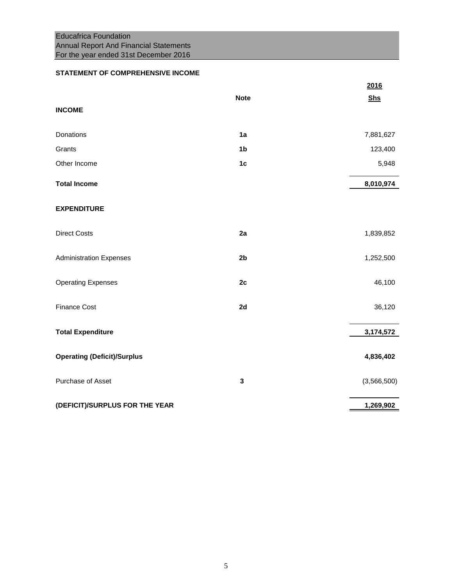# Educafrica Foundation Annual Report And Financial Statements For the year ended 31st December 2016

## **STATEMENT OF COMPREHENSIVE INCOME**

|                                    |                | 2016        |
|------------------------------------|----------------|-------------|
|                                    | <b>Note</b>    | <b>Shs</b>  |
| <b>INCOME</b>                      |                |             |
| Donations                          | 1a             | 7,881,627   |
| Grants                             | 1 <sub>b</sub> | 123,400     |
| Other Income                       | 1 <sub>c</sub> | 5,948       |
| <b>Total Income</b>                |                | 8,010,974   |
| <b>EXPENDITURE</b>                 |                |             |
| <b>Direct Costs</b>                | 2a             | 1,839,852   |
| <b>Administration Expenses</b>     | 2 <sub>b</sub> | 1,252,500   |
| <b>Operating Expenses</b>          | 2c             | 46,100      |
| <b>Finance Cost</b>                | 2d             | 36,120      |
| <b>Total Expenditure</b>           |                | 3,174,572   |
| <b>Operating (Deficit)/Surplus</b> |                | 4,836,402   |
| Purchase of Asset                  | 3              | (3,566,500) |
| (DEFICIT)/SURPLUS FOR THE YEAR     |                | 1,269,902   |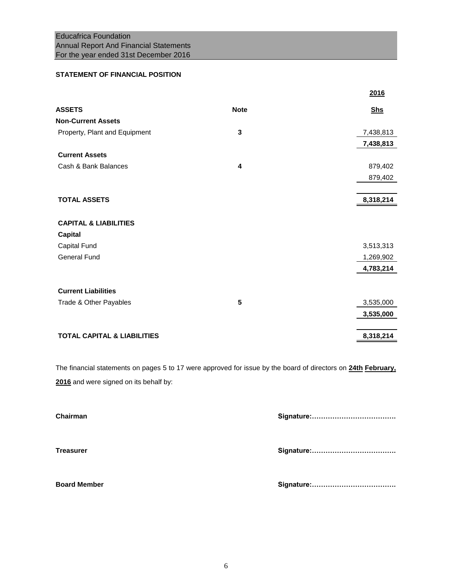## **STATEMENT OF FINANCIAL POSITION**

|             | 2016       |
|-------------|------------|
| <b>Note</b> | <b>Shs</b> |
|             |            |
| 3           | 7,438,813  |
|             | 7,438,813  |
|             |            |
| 4           | 879,402    |
|             | 879,402    |
|             |            |
|             | 8,318,214  |
|             |            |
|             |            |
|             |            |
|             | 3,513,313  |
|             | 1,269,902  |
|             | 4,783,214  |
|             |            |
|             |            |
| 5           | 3,535,000  |
|             | 3,535,000  |
|             | 8,318,214  |
|             |            |

The financial statements on pages 5 to 17 were approved for issue by the board of directors on **24th February, 2016** and were signed on its behalf by:

| Chairman            |  |
|---------------------|--|
| <b>Treasurer</b>    |  |
| <b>Board Member</b> |  |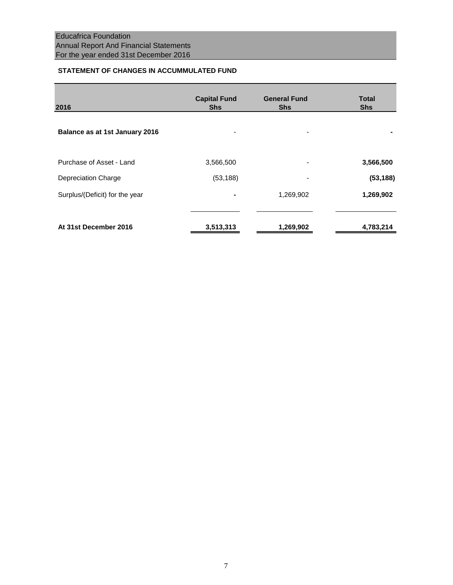## **STATEMENT OF CHANGES IN ACCUMMULATED FUND**

| 2016                           | <b>Capital Fund</b><br><b>Shs</b> | <b>General Fund</b><br><b>Shs</b> | Total<br><b>Shs</b> |
|--------------------------------|-----------------------------------|-----------------------------------|---------------------|
| Balance as at 1st January 2016 | $\overline{a}$                    | $\overline{\phantom{a}}$          |                     |
| Purchase of Asset - Land       | 3,566,500                         | $\overline{\phantom{a}}$          | 3,566,500           |
| Depreciation Charge            | (53, 188)                         |                                   | (53, 188)           |
| Surplus/(Deficit) for the year | ٠                                 | 1,269,902                         | 1,269,902           |
| At 31st December 2016          | 3,513,313                         | 1,269,902                         | 4,783,214           |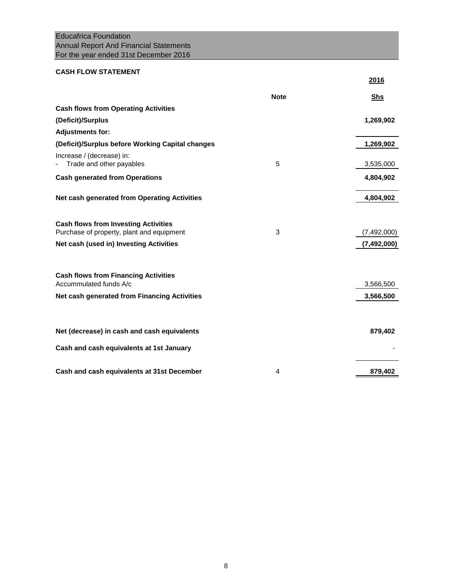# Educafrica Foundation Annual Report And Financial Statements For the year ended 31st December 2016

# **CASH FLOW STATEMENT**

|                                                                                          |             | 2016        |
|------------------------------------------------------------------------------------------|-------------|-------------|
|                                                                                          | <b>Note</b> | <b>Shs</b>  |
| <b>Cash flows from Operating Activities</b>                                              |             |             |
| (Deficit)/Surplus                                                                        |             | 1,269,902   |
| <b>Adjustments for:</b>                                                                  |             |             |
| (Deficit)/Surplus before Working Capital changes                                         |             | 1,269,902   |
| Increase / (decrease) in:<br>Trade and other payables                                    | 5           | 3,535,000   |
| <b>Cash generated from Operations</b>                                                    |             | 4,804,902   |
| Net cash generated from Operating Activities                                             |             | 4,804,902   |
| <b>Cash flows from Investing Activities</b><br>Purchase of property, plant and equipment | 3           | (7,492,000) |
| Net cash (used in) Investing Activities                                                  |             | (7,492,000) |
| <b>Cash flows from Financing Activities</b><br>Accummulated funds A/c                    |             | 3,566,500   |
| Net cash generated from Financing Activities                                             |             | 3,566,500   |
| Net (decrease) in cash and cash equivalents                                              |             | 879,402     |
| Cash and cash equivalents at 1st January                                                 |             |             |
| Cash and cash equivalents at 31st December                                               | 4           | 879,402     |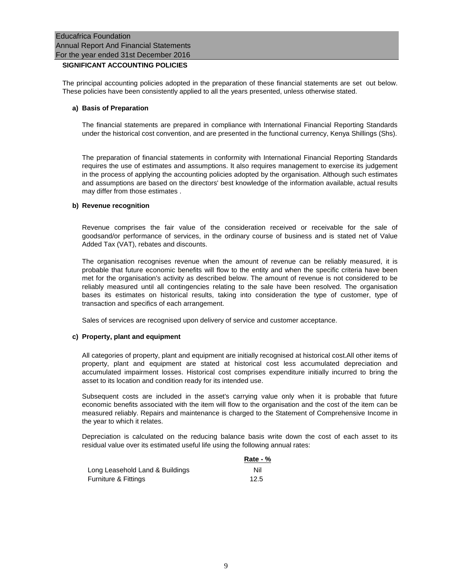## **SIGNIFICANT ACCOUNTING POLICIES**

The principal accounting policies adopted in the preparation of these financial statements are set out below. These policies have been consistently applied to all the years presented, unless otherwise stated.

### **a) Basis of Preparation**

The financial statements are prepared in compliance with International Financial Reporting Standards under the historical cost convention, and are presented in the functional currency, Kenya Shillings (Shs).

The preparation of financial statements in conformity with International Financial Reporting Standards requires the use of estimates and assumptions. It also requires management to exercise its judgement in the process of applying the accounting policies adopted by the organisation. Although such estimates and assumptions are based on the directors' best knowledge of the information available, actual results may differ from those estimates .

### **b) Revenue recognition**

Revenue comprises the fair value of the consideration received or receivable for the sale of goodsand/or performance of services, in the ordinary course of business and is stated net of Value Added Tax (VAT), rebates and discounts.

The organisation recognises revenue when the amount of revenue can be reliably measured, it is probable that future economic benefits will flow to the entity and when the specific criteria have been met for the organisation's activity as described below. The amount of revenue is not considered to be reliably measured until all contingencies relating to the sale have been resolved. The organisation bases its estimates on historical results, taking into consideration the type of customer, type of transaction and specifics of each arrangement.

Sales of services are recognised upon delivery of service and customer acceptance.

### **c) Property, plant and equipment**

All categories of property, plant and equipment are initially recognised at historical cost.All other items of property, plant and equipment are stated at historical cost less accumulated depreciation and accumulated impairment losses. Historical cost comprises expenditure initially incurred to bring the asset to its location and condition ready for its intended use.

Subsequent costs are included in the asset's carrying value only when it is probable that future economic benefits associated with the item will flow to the organisation and the cost of the item can be measured reliably. Repairs and maintenance is charged to the Statement of Comprehensive Income in the year to which it relates.

Depreciation is calculated on the reducing balance basis write down the cost of each asset to its residual value over its estimated useful life using the following annual rates:

|                                 | Rate - $%$ |
|---------------------------------|------------|
| Long Leasehold Land & Buildings | Nil        |
| Furniture & Fittings            | 12.5       |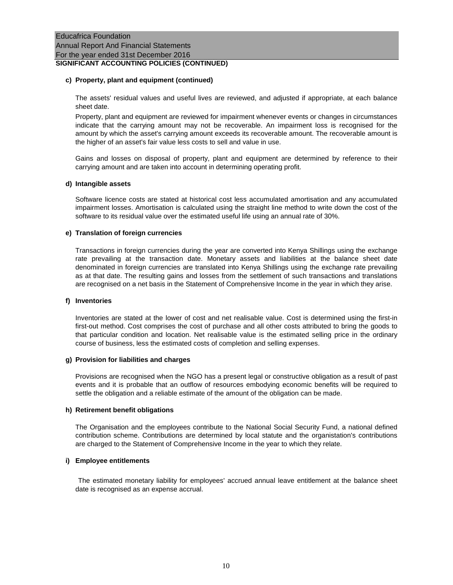#### **c) Property, plant and equipment (continued)**

The assets' residual values and useful lives are reviewed, and adjusted if appropriate, at each balance sheet date.

Property, plant and equipment are reviewed for impairment whenever events or changes in circumstances indicate that the carrying amount may not be recoverable. An impairment loss is recognised for the amount by which the asset's carrying amount exceeds its recoverable amount. The recoverable amount is the higher of an asset's fair value less costs to sell and value in use.

Gains and losses on disposal of property, plant and equipment are determined by reference to their carrying amount and are taken into account in determining operating profit.

#### **d) Intangible assets**

Software licence costs are stated at historical cost less accumulated amortisation and any accumulated impairment losses. Amortisation is calculated using the straight line method to write down the cost of the software to its residual value over the estimated useful life using an annual rate of 30%.

#### **e) Translation of foreign currencies**

Transactions in foreign currencies during the year are converted into Kenya Shillings using the exchange rate prevailing at the transaction date. Monetary assets and liabilities at the balance sheet date denominated in foreign currencies are translated into Kenya Shillings using the exchange rate prevailing as at that date. The resulting gains and losses from the settlement of such transactions and translations are recognised on a net basis in the Statement of Comprehensive Income in the year in which they arise.

#### **f) Inventories**

Inventories are stated at the lower of cost and net realisable value. Cost is determined using the first-in first-out method. Cost comprises the cost of purchase and all other costs attributed to bring the goods to that particular condition and location. Net realisable value is the estimated selling price in the ordinary course of business, less the estimated costs of completion and selling expenses.

#### **g) Provision for liabilities and charges**

Provisions are recognised when the NGO has a present legal or constructive obligation as a result of past events and it is probable that an outflow of resources embodying economic benefits will be required to settle the obligation and a reliable estimate of the amount of the obligation can be made.

### **h) Retirement benefit obligations**

The Organisation and the employees contribute to the National Social Security Fund, a national defined contribution scheme. Contributions are determined by local statute and the organistation's contributions are charged to the Statement of Comprehensive Income in the year to which they relate.

### **i) Employee entitlements**

The estimated monetary liability for employees' accrued annual leave entitlement at the balance sheet date is recognised as an expense accrual.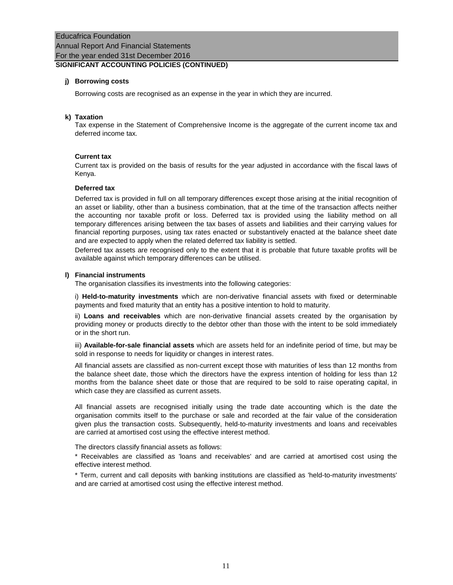## Educafrica Foundation Annual Report And Financial Statements For the year ended 31st December 2016 **SIGNIFICANT ACCOUNTING POLICIES (CONTINUED)**

## **j) Borrowing costs**

Borrowing costs are recognised as an expense in the year in which they are incurred.

### **k) Taxation**

Tax expense in the Statement of Comprehensive Income is the aggregate of the current income tax and deferred income tax.

### **Current tax**

Current tax is provided on the basis of results for the year adjusted in accordance with the fiscal laws of Kenya.

### **Deferred tax**

Deferred tax is provided in full on all temporary differences except those arising at the initial recognition of an asset or liability, other than a business combination, that at the time of the transaction affects neither the accounting nor taxable profit or loss. Deferred tax is provided using the liability method on all temporary differences arising between the tax bases of assets and liabilities and their carrying values for financial reporting purposes, using tax rates enacted or substantively enacted at the balance sheet date and are expected to apply when the related deferred tax liability is settled.

Deferred tax assets are recognised only to the extent that it is probable that future taxable profits will be available against which temporary differences can be utilised.

### **l) Financial instruments**

The organisation classifies its investments into the following categories:

i) **Held-to-maturity investments** which are non-derivative financial assets with fixed or determinable payments and fixed maturity that an entity has a positive intention to hold to maturity.

ii) **Loans and receivables** which are non-derivative financial assets created by the organisation by providing money or products directly to the debtor other than those with the intent to be sold immediately or in the short run.

iii) **Available-for-sale financial assets** which are assets held for an indefinite period of time, but may be sold in response to needs for liquidity or changes in interest rates.

All financial assets are classified as non-current except those with maturities of less than 12 months from the balance sheet date, those which the directors have the express intention of holding for less than 12 months from the balance sheet date or those that are required to be sold to raise operating capital, in which case they are classified as current assets.

All financial assets are recognised initially using the trade date accounting which is the date the organisation commits itself to the purchase or sale and recorded at the fair value of the consideration given plus the transaction costs. Subsequently, held-to-maturity investments and loans and receivables are carried at amortised cost using the effective interest method.

The directors classify financial assets as follows:

\* Receivables are classified as 'loans and receivables' and are carried at amortised cost using the effective interest method.

\* Term, current and call deposits with banking institutions are classified as 'held-to-maturity investments' and are carried at amortised cost using the effective interest method.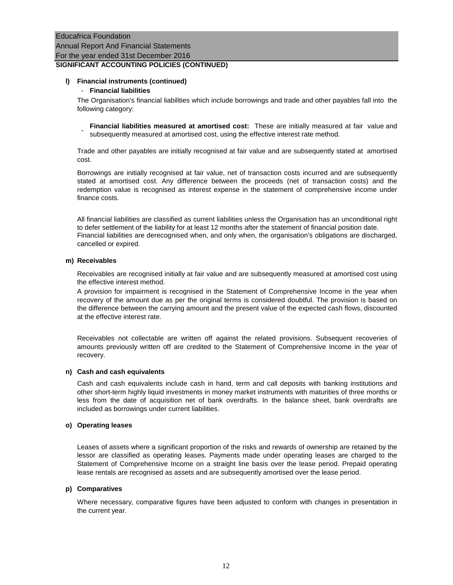## Educafrica Foundation Annual Report And Financial Statements For the year ended 31st December 2016 **SIGNIFICANT ACCOUNTING POLICIES (CONTINUED)**

### **l) Financial instruments (continued)**

### - **Financial liabilities**

The Organisation's financial liabilities which include borrowings and trade and other payables fall into the following category:

- **Financial liabilities measured at amortised cost:** These are initially measured at fair value and subsequently measured at amortised cost, using the effective interest rate method.

Trade and other payables are initially recognised at fair value and are subsequently stated at amortised cost.

Borrowings are initially recognised at fair value, net of transaction costs incurred and are subsequently stated at amortised cost. Any difference between the proceeds (net of transaction costs) and the redemption value is recognised as interest expense in the statement of comprehensive income under finance costs.

All financial liabilities are classified as current liabilities unless the Organisation has an unconditional right to defer settlement of the liability for at least 12 months after the statement of financial position date. Financial liabilities are derecognised when, and only when, the organisation's obligations are discharged, cancelled or expired.

### **m) Receivables**

Receivables are recognised initially at fair value and are subsequently measured at amortised cost using the effective interest method.

A provision for impairment is recognised in the Statement of Comprehensive Income in the year when recovery of the amount due as per the original terms is considered doubtful. The provision is based on the difference between the carrying amount and the present value of the expected cash flows, discounted at the effective interest rate.

Receivables not collectable are written off against the related provisions. Subsequent recoveries of amounts previously written off are credited to the Statement of Comprehensive Income in the year of recovery.

### **n) Cash and cash equivalents**

Cash and cash equivalents include cash in hand, term and call deposits with banking institutions and other short-term highly liquid investments in money market instruments with maturities of three months or less from the date of acquisition net of bank overdrafts. In the balance sheet, bank overdrafts are included as borrowings under current liabilities.

### **o) Operating leases**

Leases of assets where a significant proportion of the risks and rewards of ownership are retained by the lessor are classified as operating leases. Payments made under operating leases are charged to the Statement of Comprehensive Income on a straight line basis over the lease period. Prepaid operating lease rentals are recognised as assets and are subsequently amortised over the lease period.

### **p) Comparatives**

Where necessary, comparative figures have been adjusted to conform with changes in presentation in the current year.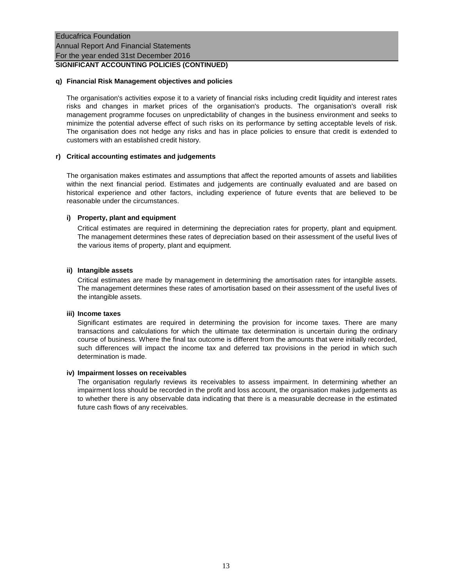### **q) Financial Risk Management objectives and policies**

The organisation's activities expose it to a variety of financial risks including credit liquidity and interest rates risks and changes in market prices of the organisation's products. The organisation's overall risk management programme focuses on unpredictability of changes in the business environment and seeks to minimize the potential adverse effect of such risks on its performance by setting acceptable levels of risk. The organisation does not hedge any risks and has in place policies to ensure that credit is extended to customers with an established credit history.

### **r) Critical accounting estimates and judgements**

The organisation makes estimates and assumptions that affect the reported amounts of assets and liabilities within the next financial period. Estimates and judgements are continually evaluated and are based on historical experience and other factors, including experience of future events that are believed to be reasonable under the circumstances.

### **i) Property, plant and equipment**

Critical estimates are required in determining the depreciation rates for property, plant and equipment. The management determines these rates of depreciation based on their assessment of the useful lives of the various items of property, plant and equipment.

### **ii) Intangible assets**

Critical estimates are made by management in determining the amortisation rates for intangible assets. The management determines these rates of amortisation based on their assessment of the useful lives of the intangible assets.

### **iii) Income taxes**

Significant estimates are required in determining the provision for income taxes. There are many transactions and calculations for which the ultimate tax determination is uncertain during the ordinary course of business. Where the final tax outcome is different from the amounts that were initially recorded, such differences will impact the income tax and deferred tax provisions in the period in which such determination is made.

### **iv) Impairment losses on receivables**

The organisation regularly reviews its receivables to assess impairment. In determining whether an impairment loss should be recorded in the profit and loss account, the organisation makes judgements as to whether there is any observable data indicating that there is a measurable decrease in the estimated future cash flows of any receivables.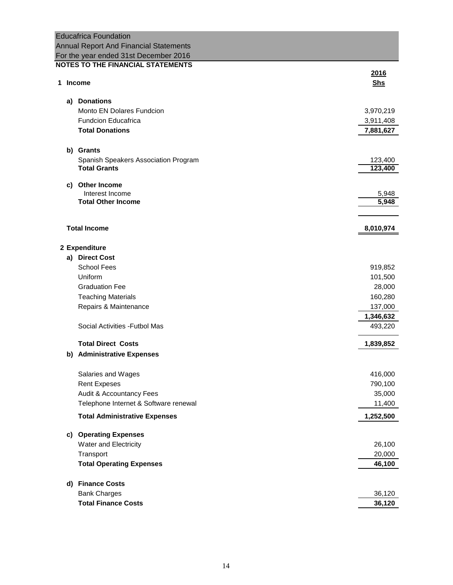| <b>Educafrica Foundation</b>                         |            |
|------------------------------------------------------|------------|
| <b>Annual Report And Financial Statements</b>        |            |
| For the year ended 31st December 2016                |            |
| <b>NOTES TO THE FINANCIAL STATEMENTS</b>             |            |
|                                                      | 2016       |
| 1 Income                                             | <b>Shs</b> |
|                                                      |            |
| a) Donations<br><b>Monto EN Dolares Fundcion</b>     |            |
|                                                      | 3,970,219  |
| <b>Fundcion Educafrica</b><br><b>Total Donations</b> | 3,911,408  |
|                                                      | 7,881,627  |
| b) Grants                                            |            |
| Spanish Speakers Association Program                 | 123,400    |
| <b>Total Grants</b>                                  | 123,400    |
|                                                      |            |
| c) Other Income                                      |            |
| Interest Income                                      | 5,948      |
| <b>Total Other Income</b>                            | 5,948      |
|                                                      |            |
| <b>Total Income</b>                                  | 8,010,974  |
|                                                      |            |
| 2 Expenditure                                        |            |
| a) Direct Cost                                       |            |
| <b>School Fees</b>                                   | 919,852    |
| Uniform                                              | 101,500    |
| <b>Graduation Fee</b>                                | 28,000     |
| <b>Teaching Materials</b>                            | 160,280    |
| Repairs & Maintenance                                | 137,000    |
|                                                      | 1,346,632  |
| Social Activities - Futbol Mas                       | 493,220    |
|                                                      |            |
| <b>Total Direct Costs</b>                            | 1,839,852  |
| b) Administrative Expenses                           |            |
|                                                      |            |
| Salaries and Wages                                   | 416,000    |
| <b>Rent Expeses</b>                                  | 790,100    |
| Audit & Accountancy Fees                             | 35,000     |
| Telephone Internet & Software renewal                | 11,400     |
| <b>Total Administrative Expenses</b>                 | 1,252,500  |
| c) Operating Expenses                                |            |
| Water and Electricity                                | 26,100     |
| Transport                                            | 20,000     |
| <b>Total Operating Expenses</b>                      | 46,100     |
|                                                      |            |
| <b>Finance Costs</b><br>d)                           |            |
| <b>Bank Charges</b>                                  | 36,120     |
| <b>Total Finance Costs</b>                           | 36,120     |
|                                                      |            |